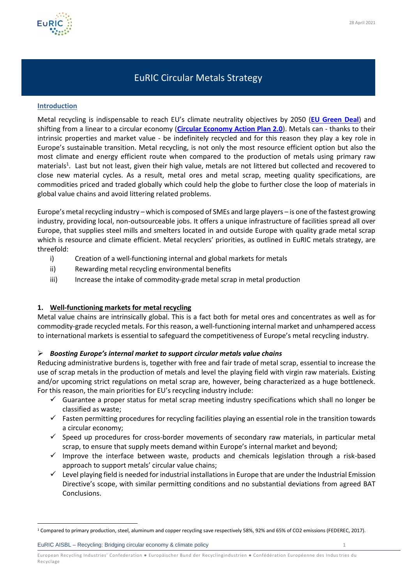

# EuRIC Circular Metals Strategy

#### **Introduction**

Metal recycling is indispensable to reach EU's climate neutrality objectives by 2050 (**[EU Green Deal](https://eur-lex.europa.eu/legal-content/EN/TXT/?qid=1596443911913&uri=CELEX:52019DC0640#document2)**) and shifting from a linear to a circular economy (**[Circular Economy Action Plan 2.0](https://eur-lex.europa.eu/legal-content/EN/TXT/?qid=1583933814386&uri=COM:2020:98:FIN)**). Metals can - thanks to their intrinsic properties and market value - be indefinitely recycled and for this reason they play a key role in Europe's sustainable transition. Metal recycling, is not only the most resource efficient option but also the most climate and energy efficient route when compared to the production of metals using primary raw materials<sup>1</sup>. Last but not least, given their high value, metals are not littered but collected and recovered to close new material cycles. As a result, metal ores and metal scrap, meeting quality specifications, are commodities priced and traded globally which could help the globe to further close the loop of materials in global value chains and avoid littering related problems.

Europe's metal recycling industry – which is composed of SMEs and large players – is one of the fastest growing industry, providing local, non-outsourceable jobs. It offers a unique infrastructure of facilities spread all over Europe, that supplies steel mills and smelters located in and outside Europe with quality grade metal scrap which is resource and climate efficient. Metal recyclers' priorities, as outlined in EuRIC metals strategy, are threefold:

- i) Creation of a well-functioning internal and global markets for metals
- ii) Rewarding metal recycling environmental benefits
- iii) Increase the intake of commodity-grade metal scrap in metal production

## **1. Well-functioning markets for metal recycling**

Metal value chains are intrinsically global. This is a fact both for metal ores and concentrates as well as for commodity-grade recycled metals. For this reason, a well-functioning internal market and unhampered access to international markets is essential to safeguard the competitiveness of Europe's metal recycling industry.

## ➢ *Boosting Europe's internal market to support circular metals value chains*

Reducing administrative burdens is, together with free and fair trade of metal scrap, essential to increase the use of scrap metals in the production of metals and level the playing field with virgin raw materials. Existing and/or upcoming strict regulations on metal scrap are, however, being characterized as a huge bottleneck. For this reason, the main priorities for EU's recycling industry include:

- $\checkmark$  Guarantee a proper status for metal scrap meeting industry specifications which shall no longer be classified as waste;
- $\checkmark$  Fasten permitting procedures for recycling facilities playing an essential role in the transition towards a circular economy;
- $\checkmark$  Speed up procedures for cross-border movements of secondary raw materials, in particular metal scrap, to ensure that supply meets demand within Europe's internal market and beyond;
- ✓ Improve the interface between waste, products and chemicals legislation through a risk-based approach to support metals' circular value chains;
- ✓ Level playing field is needed for industrial installations in Europe that are under the Industrial Emission Directive's scope, with similar permitting conditions and no substantial deviations from agreed BAT Conclusions.

EuRIC AISBL – Recycling: Bridging circular economy & climate policy 1

<sup>1</sup> Compared to primary production, steel, aluminum and copper recycling save respectively 58%, 92% and 65% of CO2 emissions (FEDEREC, 2017).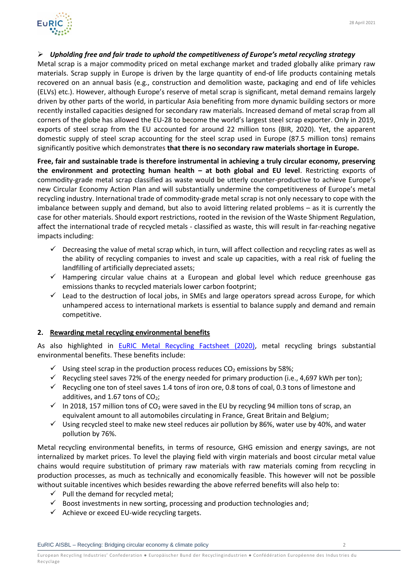

# ➢ *Upholding free and fair trade to uphold the competitiveness of Europe's metal recycling strategy*

Metal scrap is a major commodity priced on metal exchange market and traded globally alike primary raw materials. Scrap supply in Europe is driven by the large quantity of end-of life products containing metals recovered on an annual basis (e.g., construction and demolition waste, packaging and end of life vehicles (ELVs) etc.). However, although Europe's reserve of metal scrap is significant, metal demand remains largely driven by other parts of the world, in particular Asia benefiting from more dynamic building sectors or more recently installed capacities designed for secondary raw materials. Increased demand of metal scrap from all corners of the globe has allowed the EU-28 to become the world's largest steel scrap exporter. Only in 2019, exports of steel scrap from the EU accounted for around 22 million tons (BIR, 2020). Yet, the apparent domestic supply of steel scrap accounting for the steel scrap used in Europe (87.5 million tons) remains significantly positive which demonstrates **that there is no secondary raw materials shortage in Europe.**

**Free, fair and sustainable trade is therefore instrumental in achieving a truly circular economy, preserving the environment and protecting human health – at both global and EU level**. Restricting exports of commodity-grade metal scrap classified as waste would be utterly counter-productive to achieve Europe's new Circular Economy Action Plan and will substantially undermine the competitiveness of Europe's metal recycling industry. International trade of commodity-grade metal scrap is not only necessary to cope with the imbalance between supply and demand, but also to avoid littering related problems – as it is currently the case for other materials. Should export restrictions, rooted in the revision of the Waste Shipment Regulation, affect the international trade of recycled metals - classified as waste, this will result in far-reaching negative impacts including:

- $\checkmark$  Decreasing the value of metal scrap which, in turn, will affect collection and recycling rates as well as the ability of recycling companies to invest and scale up capacities, with a real risk of fueling the landfilling of artificially depreciated assets;
- ✓ Hampering circular value chains at a European and global level which reduce greenhouse gas emissions thanks to recycled materials lower carbon footprint;
- $\checkmark$  Lead to the destruction of local jobs, in SMEs and large operators spread across Europe, for which unhampered access to international markets is essential to balance supply and demand and remain competitive.

## **2. Rewarding metal recycling environmental benefits**

As also highlighted in [EuRIC Metal Recycling Factsheet \(2020\),](https://www.euric-aisbl.eu/position-papers/item/335-euric-unveils-metal-recycling-brochure) metal recycling brings substantial environmental benefits. These benefits include:

- $\checkmark$  Using steel scrap in the production process reduces CO<sub>2</sub> emissions by 58%;
- $\checkmark$  Recycling steel saves 72% of the energy needed for primary production (i.e., 4,697 kWh per ton);
- $\checkmark$  Recycling one ton of steel saves 1.4 tons of iron ore, 0.8 tons of coal, 0.3 tons of limestone and additives, and 1.67 tons of  $CO<sub>2</sub>$ ;
- $\checkmark$  In 2018, 157 million tons of CO<sub>2</sub> were saved in the EU by recycling 94 million tons of scrap, an equivalent amount to all automobiles circulating in France, Great Britain and Belgium;
- ✓ Using recycled steel to make new steel reduces air pollution by 86%, water use by 40%, and water pollution by 76%.

Metal recycling environmental benefits, in terms of resource, GHG emission and energy savings, are not internalized by market prices. To level the playing field with virgin materials and boost circular metal value chains would require substitution of primary raw materials with raw materials coming from recycling in production processes, as much as technically and economically feasible. This however will not be possible without suitable incentives which besides rewarding the above referred benefits will also help to:

- $\checkmark$  Pull the demand for recycled metal;
- $\checkmark$  Boost investments in new sorting, processing and production technologies and;
- $\checkmark$  Achieve or exceed EU-wide recycling targets.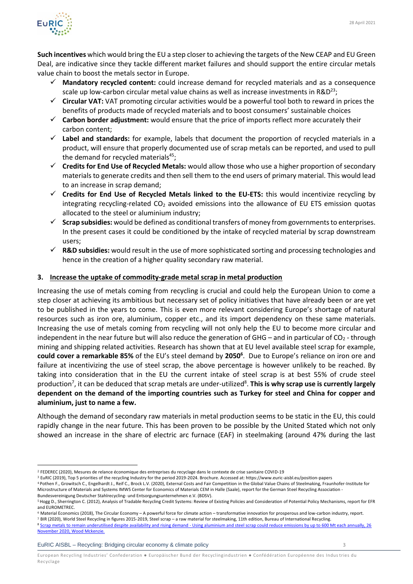

**Such incentives** which would bring the EU a step closer to achieving the targets of the New CEAP and EU Green Deal, are indicative since they tackle different market failures and should support the entire circular metals value chain to boost the metals sector in Europe.

- ✓ **Mandatory recycled content:** could increase demand for recycled materials and as a consequence scale up low-carbon circular metal value chains as well as increase investments in R&D<sup>23</sup>;
- ✓ **Circular VAT:** VAT promoting circular activities would be a powerful tool both to reward in prices the benefits of products made of recycled materials and to boost consumers' sustainable choices
- ✓ **Carbon border adjustment:** would ensure that the price of imports reflect more accurately their carbon content;
- ✓ **Label and standards:** for example, labels that document the proportion of recycled materials in a product, will ensure that properly documented use of scrap metals can be reported, and used to pull the demand for recycled materials $^{45}$ ;
- ✓ **Credits for End Use of Recycled Metals:** would allow those who use a higher proportion of secondary materials to generate credits and then sell them to the end users of primary material. This would lead to an increase in scrap demand;
- ✓ **Credits for End Use of Recycled Metals linked to the EU-ETS:** this would incentivize recycling by integrating recycling-related  $CO<sub>2</sub>$  avoided emissions into the allowance of EU ETS emission quotas allocated to the steel or aluminium industry;
- ✓ **Scrap subsidies:** would be defined as conditional transfers of money from governments to enterprises. In the present cases it could be conditioned by the intake of recycled material by scrap downstream users;
- ✓ **R&D subsidies:** would result in the use of more sophisticated sorting and processing technologies and hence in the creation of a higher quality secondary raw material.

# **3. Increase the uptake of commodity-grade metal scrap in metal production**

Increasing the use of metals coming from recycling is crucial and could help the European Union to come a step closer at achieving its ambitious but necessary set of policy initiatives that have already been or are yet to be published in the years to come. This is even more relevant considering Europe's shortage of natural resources such as iron ore, aluminium, copper etc., and its import dependency on these same materials. Increasing the use of metals coming from recycling will not only help the EU to become more circular and independent in the near future but will also reduce the generation of GHG – and in particular of  $CO<sub>2</sub>$  - through mining and shipping related activities. Research has shown that at EU level available steel scrap for example, **could cover a remarkable 85%** of the EU's steel demand by **2050<sup>6</sup>** . Due to Europe's reliance on iron ore and failure at incentivizing the use of steel scrap, the above percentage is however unlikely to be reached. By taking into consideration that in the EU the current intake of steel scrap is at best 55% of crude steel production<sup>7</sup>, it can be deduced that scrap metals are under-utilized<sup>8</sup>. **This is why scrap use is currently largely dependent on the demand of the importing countries such as Turkey for steel and China for copper and aluminium, just to name a few.**

Although the demand of secondary raw materials in metal production seems to be static in the EU, this could rapidly change in the near future. This has been proven to be possible by the United Stated which not only showed an increase in the share of electric arc furnace (EAF) in steelmaking (around 47% during the last

<sup>4</sup> Pothen F., Growitsch C., Engelhardt J., Reif C., Brock L.V. (2020), External Costs and Fair Competition in the Global Value Chains of Steelmaking, Fraunhofer-Institute for

<sup>7</sup> BIR (2020), World Steel Recycling in figures 2015-2019, Steel scrap – a raw material for steelmaking, 11th edition, Bureau of International Recycling.

EuRIC AISBL – Recycling: Bridging circular economy & climate policy 3

<sup>2</sup> FEDEREC (2020), Mesures de relance économique des entreprises du recyclage dans le contexte de crise sanitaire COVID-19

<sup>3</sup> EuRIC (2019), Top 5 priorities of the recycling Industry for the period 2019-2024. Brochure. Accessed at: https://www.euric-aisbl.eu/position-papers

Microstructure of Materials and Systems IMWS Center for Economics of Materials CEM in Halle (Saale), report for the German Steel Recycling Association - Bundesvereinigung Deutscher Stahlrecycling- und Entsorgungsunternehmen e.V. (BDSV).

<sup>5</sup>Hogg D., Sherrington C. (2012), Analysis of Tradable Recycling Credit Systems: Review of Existing Policies and Consideration of Potential Policy Mechanisms, report for EFR and EUROMETREC.

<sup>6</sup> Material Economics (2018), The Circular Economy – A powerful force for climate action – transformative innovation for prosperous and low-carbon industry, report.

<sup>8</sup> Scrap metals to remain underutilised despite availability and rising demand - Using aluminium and steel scrap could reduce emissions by up to 600 Mt each annually, 26 [November 2020, Wood Mckenzie.](https://www.woodmac.com/press-releases/scrap-metals-to-remain-underutilised-despite-availability-and-rising-demand/)